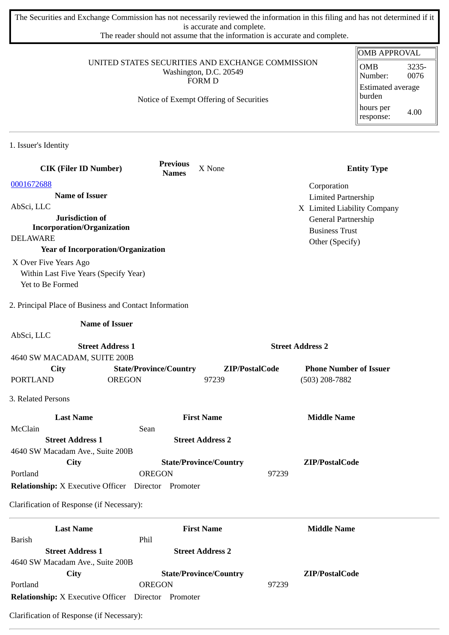The Securities and Exchange Commission has not necessarily reviewed the information in this filing and has not determined if it is accurate and complete.

The reader should not assume that the information is accurate and complete.

| UNITED STATES SECURITIES AND EXCHANGE COMMISSION<br>Washington, D.C. 20549<br><b>FORM D</b> |                                 |                                         |                                        | <b>OMB APPROVAL</b>                |
|---------------------------------------------------------------------------------------------|---------------------------------|-----------------------------------------|----------------------------------------|------------------------------------|
|                                                                                             |                                 |                                         | 3235-<br><b>OMB</b><br>0076<br>Number: |                                    |
|                                                                                             |                                 | Notice of Exempt Offering of Securities |                                        | <b>Estimated average</b><br>burden |
|                                                                                             |                                 |                                         |                                        | hours per<br>4.00<br>response:     |
| 1. Issuer's Identity                                                                        |                                 |                                         |                                        |                                    |
| <b>CIK (Filer ID Number)</b>                                                                | <b>Previous</b><br><b>Names</b> | X None                                  |                                        | <b>Entity Type</b>                 |
| 0001672688                                                                                  |                                 |                                         | Corporation                            |                                    |
| <b>Name of Issuer</b>                                                                       |                                 |                                         | <b>Limited Partnership</b>             |                                    |
| AbSci, LLC                                                                                  |                                 |                                         | X Limited Liability Company            |                                    |
| Jurisdiction of                                                                             |                                 |                                         | General Partnership                    |                                    |
| <b>Incorporation/Organization</b><br><b>DELAWARE</b>                                        |                                 |                                         | <b>Business Trust</b>                  |                                    |
| <b>Year of Incorporation/Organization</b>                                                   |                                 |                                         | Other (Specify)                        |                                    |
| X Over Five Years Ago                                                                       |                                 |                                         |                                        |                                    |
| Within Last Five Years (Specify Year)                                                       |                                 |                                         |                                        |                                    |
| Yet to Be Formed                                                                            |                                 |                                         |                                        |                                    |
| 2. Principal Place of Business and Contact Information                                      |                                 |                                         |                                        |                                    |
| <b>Name of Issuer</b>                                                                       |                                 |                                         |                                        |                                    |
| AbSci, LLC                                                                                  |                                 |                                         |                                        |                                    |
| <b>Street Address 1</b>                                                                     |                                 |                                         | <b>Street Address 2</b>                |                                    |
| 4640 SW MACADAM, SUITE 200B                                                                 |                                 |                                         |                                        |                                    |
| City                                                                                        | <b>State/Province/Country</b>   | ZIP/PostalCode                          | <b>Phone Number of Issuer</b>          |                                    |
| <b>PORTLAND</b><br><b>OREGON</b>                                                            |                                 | 97239                                   | $(503)$ 208-7882                       |                                    |
| 3. Related Persons                                                                          |                                 |                                         |                                        |                                    |
| <b>Last Name</b>                                                                            |                                 | <b>First Name</b>                       | <b>Middle Name</b>                     |                                    |
| McClain                                                                                     | Sean                            |                                         |                                        |                                    |
| <b>Street Address 1</b>                                                                     |                                 | <b>Street Address 2</b>                 |                                        |                                    |
| 4640 SW Macadam Ave., Suite 200B<br><b>City</b>                                             |                                 | <b>State/Province/Country</b>           | ZIP/PostalCode                         |                                    |
| Portland                                                                                    | <b>OREGON</b>                   |                                         | 97239                                  |                                    |
| <b>Relationship:</b> X Executive Officer Director Promoter                                  |                                 |                                         |                                        |                                    |
| Clarification of Response (if Necessary):                                                   |                                 |                                         |                                        |                                    |
| <b>Last Name</b>                                                                            |                                 | <b>First Name</b>                       | <b>Middle Name</b>                     |                                    |
| <b>Barish</b>                                                                               | Phil                            |                                         |                                        |                                    |
| <b>Street Address 1</b>                                                                     |                                 | <b>Street Address 2</b>                 |                                        |                                    |
| 4640 SW Macadam Ave., Suite 200B                                                            |                                 |                                         |                                        |                                    |
| <b>City</b>                                                                                 |                                 | <b>State/Province/Country</b>           | ZIP/PostalCode                         |                                    |
| Portland                                                                                    | <b>OREGON</b>                   |                                         | 97239                                  |                                    |
| <b>Relationship:</b> X Executive Officer  Director  Promoter                                |                                 |                                         |                                        |                                    |

Clarification of Response (if Necessary):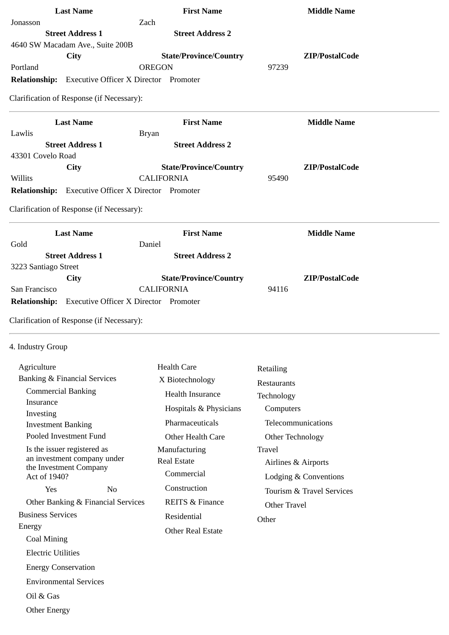| <b>Last Name</b>                                            | <b>First Name</b>             | <b>Middle Name</b>  |
|-------------------------------------------------------------|-------------------------------|---------------------|
| Jonasson                                                    | Zach                          |                     |
| <b>Street Address 1</b><br>4640 SW Macadam Ave., Suite 200B | <b>Street Address 2</b>       |                     |
| City                                                        | <b>State/Province/Country</b> | ZIP/PostalCode      |
| Portland                                                    | <b>OREGON</b>                 | 97239               |
| Relationship: Executive Officer X Director Promoter         |                               |                     |
| Clarification of Response (if Necessary):                   |                               |                     |
| <b>Last Name</b>                                            | <b>First Name</b>             | <b>Middle Name</b>  |
| Lawlis                                                      | <b>Bryan</b>                  |                     |
| <b>Street Address 1</b>                                     | <b>Street Address 2</b>       |                     |
| 43301 Covelo Road                                           |                               |                     |
| City                                                        | <b>State/Province/Country</b> | ZIP/PostalCode      |
| Willits                                                     | <b>CALIFORNIA</b>             | 95490               |
| <b>Relationship:</b> Executive Officer X Director Promoter  |                               |                     |
| Clarification of Response (if Necessary):                   |                               |                     |
| <b>Last Name</b>                                            | <b>First Name</b>             | <b>Middle Name</b>  |
| Gold                                                        | Daniel                        |                     |
| <b>Street Address 1</b>                                     | <b>Street Address 2</b>       |                     |
| 3223 Santiago Street<br>City                                | <b>State/Province/Country</b> | ZIP/PostalCode      |
| San Francisco                                               | <b>CALIFORNIA</b>             | 94116               |
| Relationship: Executive Officer X Director Promoter         |                               |                     |
| Clarification of Response (if Necessary):                   |                               |                     |
| 4. Industry Group                                           |                               |                     |
| Agriculture                                                 | <b>Health Care</b>            | Retailing           |
| <b>Banking &amp; Financial Services</b>                     | X Biotechnology               |                     |
| <b>Commercial Banking</b>                                   | <b>Health Insurance</b>       | Restaurants         |
| Insurance                                                   |                               | Technology          |
| Investing                                                   | Hospitals & Physicians        | Computers           |
| <b>Investment Banking</b>                                   | Pharmaceuticals               | Telecommunications  |
| Pooled Investment Fund                                      | Other Health Care             | Other Technology    |
| Is the issuer registered as                                 | Manufacturing                 | Travel              |
| an investment company under                                 | <b>Real Estate</b>            | Airlines & Airports |

an investment company under the Investment Company Act of 1940? Yes No Other Banking & Financial Services Business Services

 Airlines & Airports Lodging & Conventions Tourism & Travel Services Other Travel

**Other** 

 Commercial Construction

Residential

REITS & Finance

Other Real Estate

 Coal Mining Electric Utilities

Energy

Energy Conservation

Environmental Services

Oil & Gas

Other Energy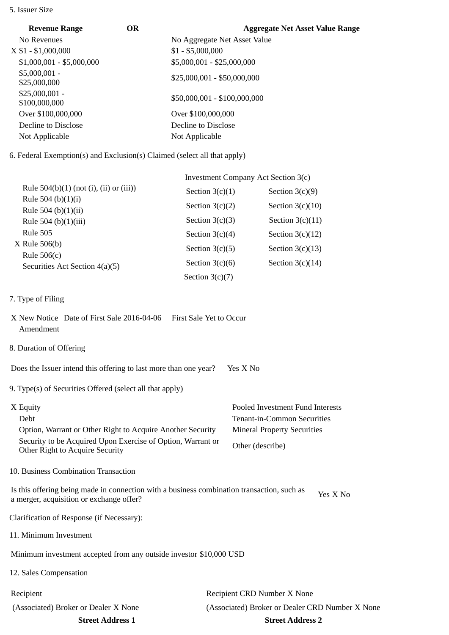## 5. Issuer Size

| <b>Revenue Range</b>             | <b>OR</b> | <b>Aggregate Net Asset Value Range</b> |
|----------------------------------|-----------|----------------------------------------|
| No Revenues                      |           | No Aggregate Net Asset Value           |
| $X$ \$1 - \$1,000,000            |           | $$1 - $5,000,000$                      |
| $$1,000,001 - $5,000,000$        |           | \$5,000,001 - \$25,000,000             |
| $$5,000,001 -$<br>\$25,000,000   |           | $$25,000,001 - $50,000,000$            |
| $$25,000,001 -$<br>\$100,000,000 |           | \$50,000,001 - \$100,000,000           |
| Over \$100,000,000               |           | Over \$100,000,000                     |
| Decline to Disclose              |           | Decline to Disclose                    |
| Not Applicable                   |           | Not Applicable                         |

6. Federal Exemption(s) and Exclusion(s) Claimed (select all that apply)

|                                                 | Investment Company Act Section 3(c) |                    |  |
|-------------------------------------------------|-------------------------------------|--------------------|--|
| Rule $504(b)(1)$ (not (i), (ii) or (iii))       | Section $3(c)(1)$                   | Section $3(c)(9)$  |  |
| Rule 504 (b) $(1)(i)$<br>Rule 504 (b) $(1)(ii)$ | Section $3(c)(2)$                   | Section $3(c)(10)$ |  |
| Rule 504 (b) $(1)(iii)$                         | Section $3(c)(3)$                   | Section $3(c)(11)$ |  |
| Rule 505                                        | Section $3(c)(4)$                   | Section $3(c)(12)$ |  |
| $X$ Rule 506(b)<br>Rule $506(c)$                | Section $3(c)(5)$                   | Section $3(c)(13)$ |  |
| Securities Act Section 4(a)(5)                  | Section $3(c)(6)$                   | Section $3(c)(14)$ |  |
|                                                 | Section $3(c)(7)$                   |                    |  |

- 7. Type of Filing
- X New Notice Date of First Sale 2016-04-06 First Sale Yet to Occur Amendment
- 8. Duration of Offering

Does the Issuer intend this offering to last more than one year? Yes X No

9. Type(s) of Securities Offered (select all that apply)

| X Equity                                                                                       | Pooled Investment Fund Interests   |
|------------------------------------------------------------------------------------------------|------------------------------------|
| Debt                                                                                           | Tenant-in-Common Securities        |
| Option, Warrant or Other Right to Acquire Another Security                                     | <b>Mineral Property Securities</b> |
| Security to be Acquired Upon Exercise of Option, Warrant or<br>Other Right to Acquire Security | Other (describe)                   |

10. Business Combination Transaction

Is this offering being made in connection with a business combination transaction, such as is this oriening being made in connection with a business combination transaction, such as  $Y$ es X No a merger, acquisition or exchange offer?

Clarification of Response (if Necessary):

11. Minimum Investment

Minimum investment accepted from any outside investor \$10,000 USD

12. Sales Compensation

Recipient Recipient CRD Number X None (Associated) Broker or Dealer X None (Associated) Broker or Dealer CRD Number X None **Street Address 1 Street Address 2**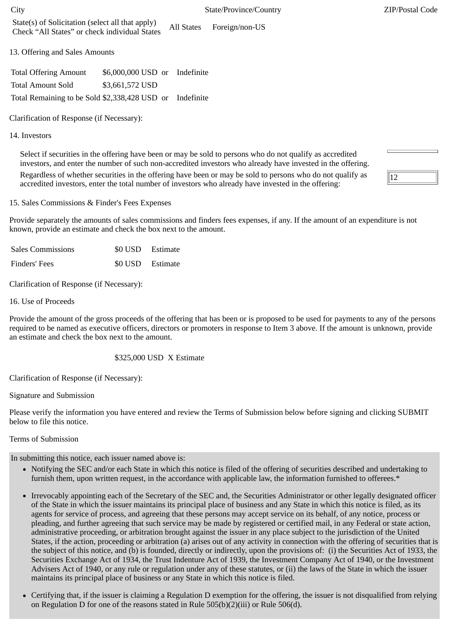13. Offering and Sales Amounts

| <b>Total Offering Amount</b>                             | \$6,000,000 USD or Indefinite |  |
|----------------------------------------------------------|-------------------------------|--|
| <b>Total Amount Sold</b>                                 | \$3,661,572 USD               |  |
| Total Remaining to be Sold \$2,338,428 USD or Indefinite |                               |  |

Clarification of Response (if Necessary):

14. Investors

Select if securities in the offering have been or may be sold to persons who do not qualify as accredited investors, and enter the number of such non-accredited investors who already have invested in the offering. Regardless of whether securities in the offering have been or may be sold to persons who do not qualify as

accredited investors, enter the total number of investors who already have invested in the offering:

15. Sales Commissions & Finder's Fees Expenses

Provide separately the amounts of sales commissions and finders fees expenses, if any. If the amount of an expenditure is not known, provide an estimate and check the box next to the amount.

| <b>Sales Commissions</b> | \$0 USD Estimate |
|--------------------------|------------------|
| Finders' Fees            | \$0 USD Estimate |

Clarification of Response (if Necessary):

16. Use of Proceeds

Provide the amount of the gross proceeds of the offering that has been or is proposed to be used for payments to any of the persons required to be named as executive officers, directors or promoters in response to Item 3 above. If the amount is unknown, provide an estimate and check the box next to the amount.

\$325,000 USD X Estimate

Clarification of Response (if Necessary):

Signature and Submission

Please verify the information you have entered and review the Terms of Submission below before signing and clicking SUBMIT below to file this notice.

## Terms of Submission

In submitting this notice, each issuer named above is:

- Notifying the SEC and/or each State in which this notice is filed of the offering of securities described and undertaking to furnish them, upon written request, in the accordance with applicable law, the information furnished to offerees.\*
- Irrevocably appointing each of the Secretary of the SEC and, the Securities Administrator or other legally designated officer of the State in which the issuer maintains its principal place of business and any State in which this notice is filed, as its agents for service of process, and agreeing that these persons may accept service on its behalf, of any notice, process or pleading, and further agreeing that such service may be made by registered or certified mail, in any Federal or state action, administrative proceeding, or arbitration brought against the issuer in any place subject to the jurisdiction of the United States, if the action, proceeding or arbitration (a) arises out of any activity in connection with the offering of securities that is the subject of this notice, and (b) is founded, directly or indirectly, upon the provisions of: (i) the Securities Act of 1933, the Securities Exchange Act of 1934, the Trust Indenture Act of 1939, the Investment Company Act of 1940, or the Investment Advisers Act of 1940, or any rule or regulation under any of these statutes, or (ii) the laws of the State in which the issuer maintains its principal place of business or any State in which this notice is filed.
- Certifying that, if the issuer is claiming a Regulation D exemption for the offering, the issuer is not disqualified from relying on Regulation D for one of the reasons stated in Rule 505(b)(2)(iii) or Rule 506(d).

 $\overline{12}$